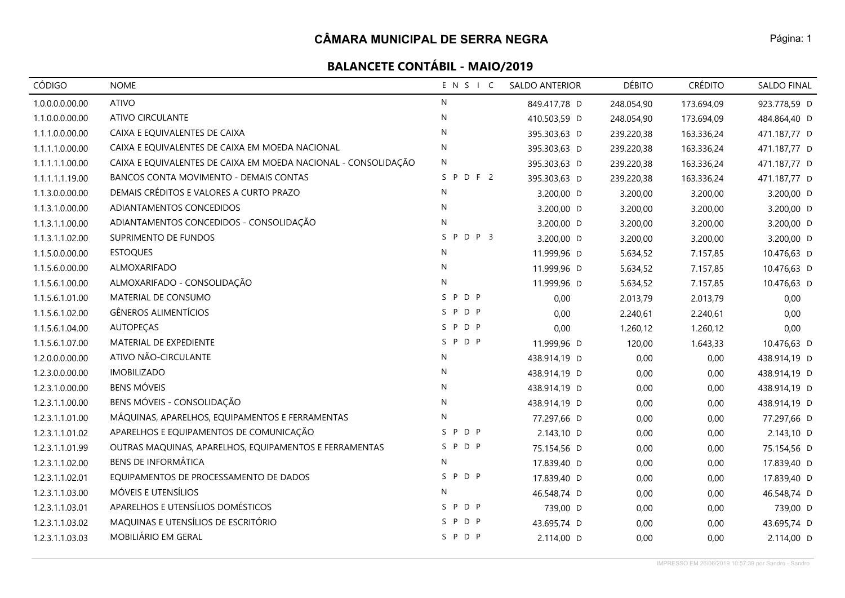| CÓDIGO          | <b>NOME</b>                                                    | ENSIC        | <b>SALDO ANTERIOR</b> | <b>DÉBITO</b> | <b>CRÉDITO</b> | SALDO FINAL  |
|-----------------|----------------------------------------------------------------|--------------|-----------------------|---------------|----------------|--------------|
| 1.0.0.0.0.00.00 | <b>ATIVO</b>                                                   | ${\sf N}$    | 849.417,78 D          | 248.054,90    | 173.694,09     | 923.778,59 D |
| 1.1.0.0.0.00.00 | <b>ATIVO CIRCULANTE</b>                                        | N            | 410.503,59 D          | 248.054,90    | 173.694,09     | 484.864,40 D |
| 1.1.1.0.0.00.00 | CAIXA E EQUIVALENTES DE CAIXA                                  | $\mathsf{N}$ | 395.303,63 D          | 239.220,38    | 163.336,24     | 471.187,77 D |
| 1.1.1.1.0.00.00 | CAIXA E EQUIVALENTES DE CAIXA EM MOEDA NACIONAL                | $\mathsf{N}$ | 395.303,63 D          | 239.220,38    | 163.336,24     | 471.187,77 D |
| 1.1.1.1.1.00.00 | CAIXA E EQUIVALENTES DE CAIXA EM MOEDA NACIONAL - CONSOLIDAÇÃO | N            | 395.303,63 D          | 239.220,38    | 163.336,24     | 471.187,77 D |
| 1.1.1.1.1.19.00 | BANCOS CONTA MOVIMENTO - DEMAIS CONTAS                         | SPDF2        | 395.303,63 D          | 239.220,38    | 163.336,24     | 471.187,77 D |
| 1.1.3.0.0.00.00 | DEMAIS CRÉDITOS E VALORES A CURTO PRAZO                        | $\mathsf{N}$ | 3.200,00 D            | 3.200,00      | 3.200,00       | 3.200,00 D   |
| 1.1.3.1.0.00.00 | ADIANTAMENTOS CONCEDIDOS                                       | N            | 3.200,00 D            | 3.200,00      | 3.200,00       | 3.200,00 D   |
| 1.1.3.1.1.00.00 | ADIANTAMENTOS CONCEDIDOS - CONSOLIDAÇÃO                        | N            | 3.200,00 D            | 3.200,00      | 3.200,00       | 3.200,00 D   |
| 1.1.3.1.1.02.00 | SUPRIMENTO DE FUNDOS                                           | SPDP 3       | 3.200,00 D            | 3.200,00      | 3.200,00       | 3.200,00 D   |
| 1.1.5.0.0.00.00 | <b>ESTOQUES</b>                                                | N            | 11.999,96 D           | 5.634,52      | 7.157,85       | 10.476,63 D  |
| 1.1.5.6.0.00.00 | ALMOXARIFADO                                                   | N            | 11.999,96 D           | 5.634,52      | 7.157,85       | 10.476,63 D  |
| 1.1.5.6.1.00.00 | ALMOXARIFADO - CONSOLIDAÇÃO                                    | ${\sf N}$    | 11.999,96 D           | 5.634,52      | 7.157,85       | 10.476,63 D  |
| 1.1.5.6.1.01.00 | MATERIAL DE CONSUMO                                            | SPDP         | 0,00                  | 2.013,79      | 2.013,79       | 0,00         |
| 1.1.5.6.1.02.00 | <b>GÊNEROS ALIMENTÍCIOS</b>                                    | SPDP         | 0,00                  | 2.240,61      | 2.240,61       | 0,00         |
| 1.1.5.6.1.04.00 | <b>AUTOPECAS</b>                                               | SPDP         | 0,00                  | 1.260,12      | 1.260,12       | 0,00         |
| 1.1.5.6.1.07.00 | MATERIAL DE EXPEDIENTE                                         | SPDP         | 11.999,96 D           | 120,00        | 1.643,33       | 10.476,63 D  |
| 1.2.0.0.0.00.00 | ATIVO NÃO-CIRCULANTE                                           | N            | 438.914,19 D          | 0,00          | 0,00           | 438.914,19 D |
| 1.2.3.0.0.00.00 | <b>IMOBILIZADO</b>                                             | N            | 438.914,19 D          | 0,00          | 0,00           | 438.914,19 D |
| 1.2.3.1.0.00.00 | <b>BENS MÓVEIS</b>                                             | $\mathsf{N}$ | 438.914,19 D          | 0,00          | 0,00           | 438.914,19 D |
| 1.2.3.1.1.00.00 | BENS MÓVEIS - CONSOLIDAÇÃO                                     | N            | 438.914,19 D          | 0,00          | 0,00           | 438.914,19 D |
| 1.2.3.1.1.01.00 | MÁQUINAS, APARELHOS, EQUIPAMENTOS E FERRAMENTAS                | N            | 77.297,66 D           | 0,00          | 0,00           | 77.297,66 D  |
| 1.2.3.1.1.01.02 | APARELHOS E EQUIPAMENTOS DE COMUNICAÇÃO                        | SPDP         | 2.143,10 D            | 0,00          | 0,00           | 2.143,10 D   |
| 1.2.3.1.1.01.99 | OUTRAS MAQUINAS, APARELHOS, EQUIPAMENTOS E FERRAMENTAS         | SPDP         | 75.154,56 D           | 0,00          | 0,00           | 75.154,56 D  |
| 1.2.3.1.1.02.00 | <b>BENS DE INFORMÁTICA</b>                                     | N            | 17.839,40 D           | 0,00          | 0,00           | 17.839,40 D  |
| 1.2.3.1.1.02.01 | EQUIPAMENTOS DE PROCESSAMENTO DE DADOS                         | SPDP         | 17.839,40 D           | 0,00          | 0,00           | 17.839,40 D  |
| 1.2.3.1.1.03.00 | MÓVEIS E UTENSÍLIOS                                            | N            | 46.548,74 D           | 0,00          | 0,00           | 46.548,74 D  |
| 1.2.3.1.1.03.01 | APARELHOS E UTENSÍLIOS DOMÉSTICOS                              | SPDP         | 739,00 D              | 0,00          | 0,00           | 739,00 D     |
| 1.2.3.1.1.03.02 | MAQUINAS E UTENSÍLIOS DE ESCRITÓRIO                            | SPDP         | 43.695,74 D           | 0,00          | 0,00           | 43.695,74 D  |
| 1.2.3.1.1.03.03 | MOBILIÁRIO EM GERAL                                            | SPDP         | 2.114,00 D            | 0,00          | 0,00           | 2.114,00 D   |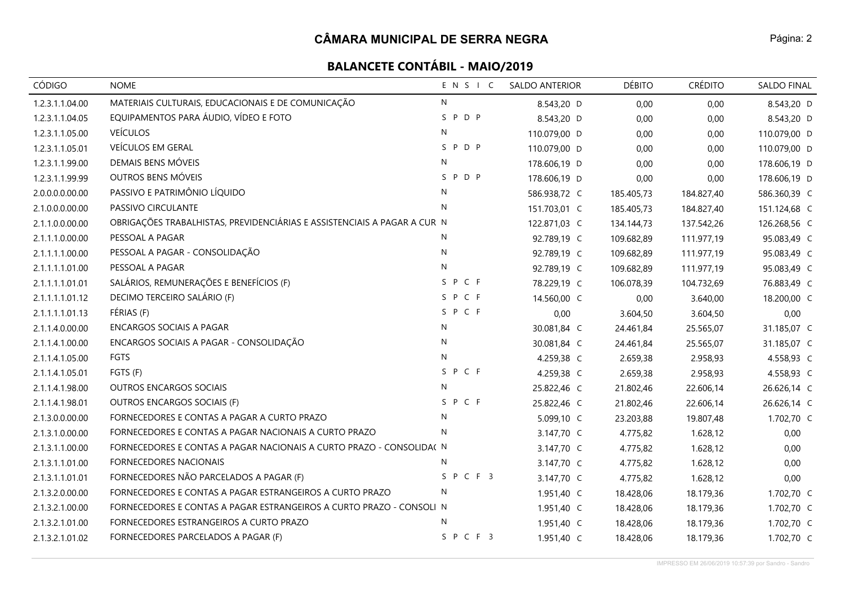| <b>CÓDIGO</b>   | <b>NOME</b>                                                              | ENSIC        | <b>SALDO ANTERIOR</b> | <b>DÉBITO</b> | <b>CRÉDITO</b> | <b>SALDO FINAL</b> |
|-----------------|--------------------------------------------------------------------------|--------------|-----------------------|---------------|----------------|--------------------|
| 1.2.3.1.1.04.00 | MATERIAIS CULTURAIS, EDUCACIONAIS E DE COMUNICAÇÃO                       | N            | 8.543,20 D            | 0,00          | 0,00           | 8.543,20 D         |
| 1.2.3.1.1.04.05 | EQUIPAMENTOS PARA ÁUDIO, VÍDEO E FOTO                                    | SPDP         | 8.543,20 D            | 0,00          | 0,00           | 8.543,20 D         |
| 1.2.3.1.1.05.00 | <b>VEÍCULOS</b>                                                          | N            | 110.079,00 D          | 0,00          | 0,00           | 110.079,00 D       |
| 1.2.3.1.1.05.01 | VEÍCULOS EM GERAL                                                        | SPDP         | 110.079,00 D          | 0,00          | 0,00           | 110.079,00 D       |
| 1.2.3.1.1.99.00 | DEMAIS BENS MÓVEIS                                                       | N            | 178.606,19 D          | 0,00          | 0,00           | 178.606,19 D       |
| 1.2.3.1.1.99.99 | OUTROS BENS MÓVEIS                                                       | SPDP         | 178.606,19 D          | 0,00          | 0,00           | 178.606,19 D       |
| 2.0.0.0.0.00.00 | PASSIVO E PATRIMÔNIO LÍQUIDO                                             | N            | 586.938,72 C          | 185.405,73    | 184.827,40     | 586.360,39 C       |
| 2.1.0.0.0.00.00 | PASSIVO CIRCULANTE                                                       | $\mathsf{N}$ | 151.703,01 C          | 185.405,73    | 184.827,40     | 151.124,68 C       |
| 2.1.1.0.0.00.00 | OBRIGAÇÕES TRABALHISTAS, PREVIDENCIÁRIAS E ASSISTENCIAIS A PAGAR A CUR N |              | 122.871,03 C          | 134.144,73    | 137.542,26     | 126.268,56 C       |
| 2.1.1.1.0.00.00 | PESSOAL A PAGAR                                                          | N            | 92.789,19 C           | 109.682,89    | 111.977,19     | 95.083,49 C        |
| 2.1.1.1.1.00.00 | PESSOAL A PAGAR - CONSOLIDAÇÃO                                           | ${\sf N}$    | 92.789,19 C           | 109.682,89    | 111.977,19     | 95.083,49 C        |
| 2.1.1.1.1.01.00 | PESSOAL A PAGAR                                                          | N            | 92.789,19 C           | 109.682,89    | 111.977,19     | 95.083,49 C        |
| 2.1.1.1.1.01.01 | SALÁRIOS, REMUNERAÇÕES E BENEFÍCIOS (F)                                  | SPCF         | 78.229,19 C           | 106.078,39    | 104.732,69     | 76.883,49 C        |
| 2.1.1.1.1.01.12 | DECIMO TERCEIRO SALÁRIO (F)                                              | SPCF         | 14.560,00 C           | 0,00          | 3.640,00       | 18.200,00 C        |
| 2.1.1.1.1.01.13 | FÉRIAS (F)                                                               | SPCF         | 0,00                  | 3.604,50      | 3.604,50       | 0,00               |
| 2.1.1.4.0.00.00 | <b>ENCARGOS SOCIAIS A PAGAR</b>                                          | N            | 30.081,84 C           | 24.461,84     | 25.565,07      | 31.185,07 C        |
| 2.1.1.4.1.00.00 | ENCARGOS SOCIAIS A PAGAR - CONSOLIDAÇÃO                                  | N            | 30.081,84 C           | 24.461,84     | 25.565,07      | 31.185,07 C        |
| 2.1.1.4.1.05.00 | FGTS                                                                     | N            | 4.259,38 C            | 2.659,38      | 2.958,93       | 4.558,93 C         |
| 2.1.1.4.1.05.01 | FGTS (F)                                                                 | SPCF         | 4.259,38 C            | 2.659,38      | 2.958,93       | 4.558,93 C         |
| 2.1.1.4.1.98.00 | OUTROS ENCARGOS SOCIAIS                                                  | N            | 25.822,46 C           | 21.802,46     | 22.606,14      | 26.626,14 C        |
| 2.1.1.4.1.98.01 | OUTROS ENCARGOS SOCIAIS (F)                                              | SPCF         | 25.822,46 C           | 21.802,46     | 22.606,14      | 26.626,14 C        |
| 2.1.3.0.0.00.00 | FORNECEDORES E CONTAS A PAGAR A CURTO PRAZO                              | N            | 5.099,10 C            | 23.203,88     | 19.807,48      | 1.702,70 C         |
| 2.1.3.1.0.00.00 | FORNECEDORES E CONTAS A PAGAR NACIONAIS A CURTO PRAZO                    | N            | 3.147,70 C            | 4.775,82      | 1.628,12       | 0,00               |
| 2.1.3.1.1.00.00 | FORNECEDORES E CONTAS A PAGAR NACIONAIS A CURTO PRAZO - CONSOLIDA( N     |              | 3.147,70 C            | 4.775,82      | 1.628,12       | 0,00               |
| 2.1.3.1.1.01.00 | FORNECEDORES NACIONAIS                                                   | N            | 3.147,70 C            | 4.775,82      | 1.628,12       | 0,00               |
| 2.1.3.1.1.01.01 | FORNECEDORES NÃO PARCELADOS A PAGAR (F)                                  | SPCF3        | 3.147,70 C            | 4.775,82      | 1.628,12       | 0,00               |
| 2.1.3.2.0.00.00 | FORNECEDORES E CONTAS A PAGAR ESTRANGEIROS A CURTO PRAZO                 | N            | 1.951,40 C            | 18.428,06     | 18.179,36      | 1.702,70 C         |
| 2.1.3.2.1.00.00 | FORNECEDORES E CONTAS A PAGAR ESTRANGEIROS A CURTO PRAZO - CONSOLI N     |              | 1.951,40 C            | 18.428,06     | 18.179,36      | 1.702,70 C         |
| 2.1.3.2.1.01.00 | FORNECEDORES ESTRANGEIROS A CURTO PRAZO                                  | N            | 1.951,40 C            | 18.428,06     | 18.179,36      | 1.702,70 C         |
| 2.1.3.2.1.01.02 | FORNECEDORES PARCELADOS A PAGAR (F)                                      | SPCF3        | 1.951,40 C            | 18.428,06     | 18.179,36      | 1.702,70 C         |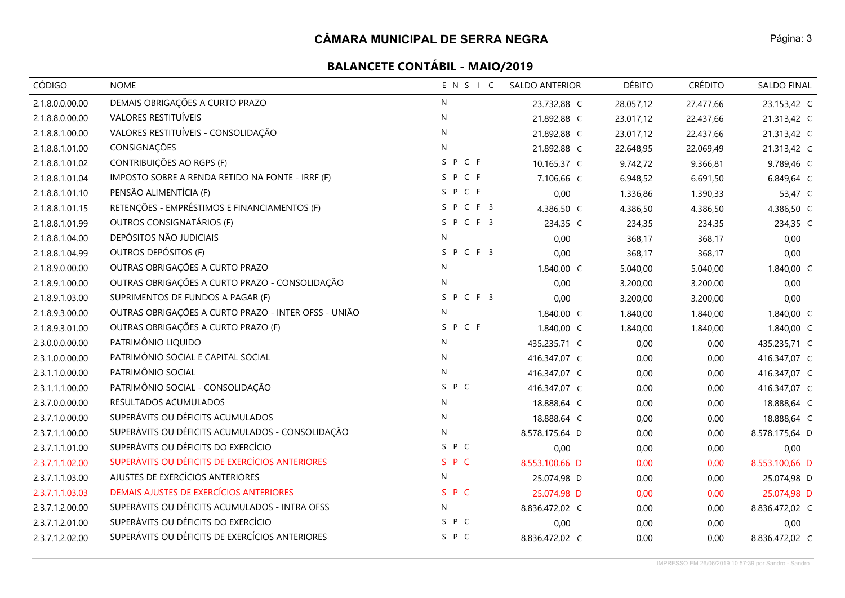| CÓDIGO          | <b>NOME</b>                                          | ENSIC        | <b>SALDO ANTERIOR</b> | <b>DÉBITO</b> | <b>CRÉDITO</b> | SALDO FINAL    |
|-----------------|------------------------------------------------------|--------------|-----------------------|---------------|----------------|----------------|
| 2.1.8.0.0.00.00 | DEMAIS OBRIGAÇÕES A CURTO PRAZO                      | $\mathsf{N}$ | 23.732,88 C           | 28.057,12     | 27.477,66      | 23.153,42 C    |
| 2.1.8.8.0.00.00 | VALORES RESTITUÍVEIS                                 | N            | 21.892,88 C           | 23.017,12     | 22.437,66      | 21.313,42 C    |
| 2.1.8.8.1.00.00 | VALORES RESTITUÍVEIS - CONSOLIDAÇÃO                  | N            | 21.892,88 C           | 23.017,12     | 22.437,66      | 21.313,42 C    |
| 2.1.8.8.1.01.00 | CONSIGNAÇÕES                                         | N            | 21.892,88 C           | 22.648,95     | 22.069,49      | 21.313,42 C    |
| 2.1.8.8.1.01.02 | CONTRIBUIÇÕES AO RGPS (F)                            | SPCF         | 10.165,37 C           | 9.742,72      | 9.366,81       | 9.789,46 C     |
| 2.1.8.8.1.01.04 | IMPOSTO SOBRE A RENDA RETIDO NA FONTE - IRRF (F)     | SPCF         | 7.106,66 C            | 6.948,52      | 6.691,50       | 6.849,64 C     |
| 2.1.8.8.1.01.10 | PENSÃO ALIMENTÍCIA (F)                               | SPCF         | 0,00                  | 1.336,86      | 1.390,33       | 53,47 C        |
| 2.1.8.8.1.01.15 | RETENÇÕES - EMPRÉSTIMOS E FINANCIAMENTOS (F)         | SPCF3        | 4.386,50 C            | 4.386,50      | 4.386,50       | 4.386,50 C     |
| 2.1.8.8.1.01.99 | OUTROS CONSIGNATÁRIOS (F)                            | SPCF3        | 234,35 C              | 234,35        | 234,35         | 234,35 C       |
| 2.1.8.8.1.04.00 | DEPÓSITOS NÃO JUDICIAIS                              | N            | 0,00                  | 368,17        | 368,17         | 0,00           |
| 2.1.8.8.1.04.99 | OUTROS DEPÓSITOS (F)                                 | SPCF3        | 0,00                  | 368,17        | 368,17         | 0,00           |
| 2.1.8.9.0.00.00 | OUTRAS OBRIGAÇÕES A CURTO PRAZO                      | N            | 1.840,00 C            | 5.040,00      | 5.040,00       | 1.840,00 C     |
| 2.1.8.9.1.00.00 | OUTRAS OBRIGAÇÕES A CURTO PRAZO - CONSOLIDAÇÃO       | N            | 0,00                  | 3.200,00      | 3.200,00       | 0,00           |
| 2.1.8.9.1.03.00 | SUPRIMENTOS DE FUNDOS A PAGAR (F)                    | SPCF3        | 0,00                  | 3.200,00      | 3.200,00       | 0,00           |
| 2.1.8.9.3.00.00 | OUTRAS OBRIGAÇÕES A CURTO PRAZO - INTER OFSS - UNIÃO | N            | 1.840,00 C            | 1.840,00      | 1.840,00       | 1.840,00 C     |
| 2.1.8.9.3.01.00 | OUTRAS OBRIGAÇÕES A CURTO PRAZO (F)                  | SPCF         | 1.840,00 C            | 1.840,00      | 1.840,00       | 1.840,00 C     |
| 2.3.0.0.0.00.00 | PATRIMÔNIO LIQUIDO                                   | N            | 435.235,71 C          | 0,00          | 0,00           | 435.235,71 C   |
| 2.3.1.0.0.00.00 | PATRIMÔNIO SOCIAL E CAPITAL SOCIAL                   | N            | 416.347,07 C          | 0,00          | 0,00           | 416.347,07 C   |
| 2.3.1.1.0.00.00 | PATRIMÔNIO SOCIAL                                    | N            | 416.347,07 C          | 0,00          | 0,00           | 416.347,07 C   |
| 2.3.1.1.1.00.00 | PATRIMÔNIO SOCIAL - CONSOLIDAÇÃO                     | S P C        | 416.347,07 C          | 0,00          | 0,00           | 416.347,07 C   |
| 2.3.7.0.0.00.00 | RESULTADOS ACUMULADOS                                | N            | 18.888,64 C           | 0,00          | 0,00           | 18.888,64 C    |
| 2.3.7.1.0.00.00 | SUPERÁVITS OU DÉFICITS ACUMULADOS                    | N            | 18.888,64 C           | 0,00          | 0,00           | 18.888,64 C    |
| 2.3.7.1.1.00.00 | SUPERÁVITS OU DÉFICITS ACUMULADOS - CONSOLIDAÇÃO     | N            | 8.578.175,64 D        | 0,00          | 0,00           | 8.578.175,64 D |
| 2.3.7.1.1.01.00 | SUPERÁVITS OU DÉFICITS DO EXERCÍCIO                  | S P C        | 0,00                  | 0,00          | 0,00           | 0,00           |
| 2.3.7.1.1.02.00 | SUPERÁVITS OU DÉFICITS DE EXERCÍCIOS ANTERIORES      | SPC          | 8.553.100,66 D        | 0,00          | 0,00           | 8.553.100,66 D |
| 2.3.7.1.1.03.00 | AJUSTES DE EXERCÍCIOS ANTERIORES                     | N            | 25.074,98 D           | 0,00          | 0,00           | 25.074,98 D    |
| 2.3.7.1.1.03.03 | DEMAIS AJUSTES DE EXERCÍCIOS ANTERIORES              | S P C        | 25.074,98 D           | 0,00          | 0,00           | 25.074,98 D    |
| 2.3.7.1.2.00.00 | SUPERÁVITS OU DÉFICITS ACUMULADOS - INTRA OFSS       | N            | 8.836.472,02 C        | 0,00          | 0,00           | 8.836.472,02 C |
| 2.3.7.1.2.01.00 | SUPERÁVITS OU DÉFICITS DO EXERCÍCIO                  | S P C        | 0,00                  | 0,00          | 0,00           | 0,00           |
| 2.3.7.1.2.02.00 | SUPERÁVITS OU DÉFICITS DE EXERCÍCIOS ANTERIORES      | S P C        | 8.836.472,02 C        | 0,00          | 0,00           | 8.836.472,02 C |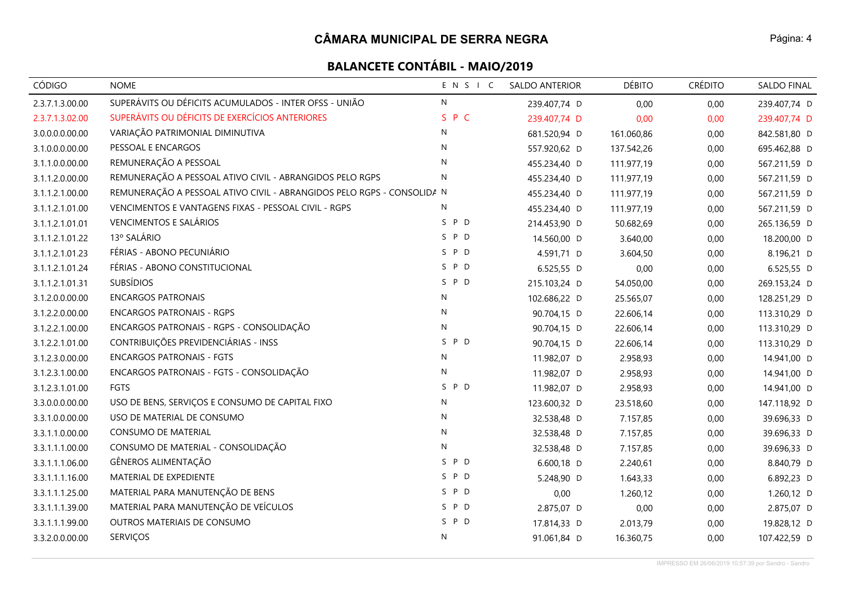## **CÂMARA MUNICIPAL DE SERRA NEGRA**

| CÓDIGO          | <b>NOME</b>                                                            | ENSIC        | <b>SALDO ANTERIOR</b> | <b>DÉBITO</b> | <b>CRÉDITO</b> | SALDO FINAL  |
|-----------------|------------------------------------------------------------------------|--------------|-----------------------|---------------|----------------|--------------|
| 2.3.7.1.3.00.00 | SUPERÁVITS OU DÉFICITS ACUMULADOS - INTER OFSS - UNIÃO                 | $\mathsf{N}$ | 239.407,74 D          | 0,00          | 0,00           | 239.407,74 D |
| 2.3.7.1.3.02.00 | SUPERÁVITS OU DÉFICITS DE EXERCÍCIOS ANTERIORES                        | S P C        | 239.407,74 D          | 0,00          | 0,00           | 239.407,74 D |
| 3.0.0.0.0.00.00 | VARIAÇÃO PATRIMONIAL DIMINUTIVA                                        | N            | 681.520,94 D          | 161.060,86    | 0,00           | 842.581,80 D |
| 3.1.0.0.0.00.00 | PESSOAL E ENCARGOS                                                     | N            | 557.920,62 D          | 137.542,26    | 0,00           | 695.462,88 D |
| 3.1.1.0.0.00.00 | REMUNERAÇÃO A PESSOAL                                                  | $\mathsf{N}$ | 455.234,40 D          | 111.977,19    | 0,00           | 567.211,59 D |
| 3.1.1.2.0.00.00 | REMUNERAÇÃO A PESSOAL ATIVO CIVIL - ABRANGIDOS PELO RGPS               | N            | 455.234,40 D          | 111.977,19    | 0,00           | 567.211,59 D |
| 3.1.1.2.1.00.00 | REMUNERAÇÃO A PESSOAL ATIVO CIVIL - ABRANGIDOS PELO RGPS - CONSOLIDA N |              | 455.234,40 D          | 111.977,19    | 0,00           | 567.211,59 D |
| 3.1.1.2.1.01.00 | VENCIMENTOS E VANTAGENS FIXAS - PESSOAL CIVIL - RGPS                   | N            | 455.234,40 D          | 111.977,19    | 0,00           | 567.211,59 D |
| 3.1.1.2.1.01.01 | <b>VENCIMENTOS E SALÁRIOS</b>                                          | S P D        | 214.453,90 D          | 50.682,69     | 0,00           | 265.136,59 D |
| 3.1.1.2.1.01.22 | 13º SALÁRIO                                                            | S P D        | 14.560,00 D           | 3.640,00      | 0,00           | 18.200,00 D  |
| 3.1.1.2.1.01.23 | FÉRIAS - ABONO PECUNIÁRIO                                              | S P D        | 4.591,71 D            | 3.604,50      | 0,00           | 8.196,21 D   |
| 3.1.1.2.1.01.24 | FÉRIAS - ABONO CONSTITUCIONAL                                          | S P D        | 6.525,55 D            | 0,00          | 0,00           | 6.525,55 D   |
| 3.1.1.2.1.01.31 | <b>SUBSÍDIOS</b>                                                       | S P D        | 215.103,24 D          | 54.050,00     | 0,00           | 269.153,24 D |
| 3.1.2.0.0.00.00 | <b>ENCARGOS PATRONAIS</b>                                              | $\mathsf{N}$ | 102.686,22 D          | 25.565,07     | 0,00           | 128.251,29 D |
| 3.1.2.2.0.00.00 | <b>ENCARGOS PATRONAIS - RGPS</b>                                       | ${\sf N}$    | 90.704,15 D           | 22.606,14     | 0,00           | 113.310,29 D |
| 3.1.2.2.1.00.00 | ENCARGOS PATRONAIS - RGPS - CONSOLIDAÇÃO                               | ${\sf N}$    | 90.704,15 D           | 22.606,14     | 0,00           | 113.310,29 D |
| 3.1.2.2.1.01.00 | CONTRIBUIÇÕES PREVIDENCIÁRIAS - INSS                                   | S P D        | 90.704,15 D           | 22.606,14     | 0,00           | 113.310,29 D |
| 3.1.2.3.0.00.00 | <b>ENCARGOS PATRONAIS - FGTS</b>                                       | ${\sf N}$    | 11.982,07 D           | 2.958,93      | 0,00           | 14.941,00 D  |
| 3.1.2.3.1.00.00 | ENCARGOS PATRONAIS - FGTS - CONSOLIDAÇÃO                               | N            | 11.982,07 D           | 2.958,93      | 0,00           | 14.941,00 D  |
| 3.1.2.3.1.01.00 | <b>FGTS</b>                                                            | S P D        | 11.982,07 D           | 2.958,93      | 0,00           | 14.941,00 D  |
| 3.3.0.0.0.00.00 | USO DE BENS, SERVIÇOS E CONSUMO DE CAPITAL FIXO                        | ${\sf N}$    | 123.600,32 D          | 23.518,60     | 0,00           | 147.118,92 D |
| 3.3.1.0.0.00.00 | USO DE MATERIAL DE CONSUMO                                             | N            | 32.538,48 D           | 7.157,85      | 0,00           | 39.696,33 D  |
| 3.3.1.1.0.00.00 | <b>CONSUMO DE MATERIAL</b>                                             | $\mathsf{N}$ | 32.538,48 D           | 7.157,85      | 0,00           | 39.696,33 D  |
| 3.3.1.1.1.00.00 | CONSUMO DE MATERIAL - CONSOLIDAÇÃO                                     | ${\sf N}$    | 32.538,48 D           | 7.157,85      | 0,00           | 39.696,33 D  |
| 3.3.1.1.1.06.00 | GÊNEROS ALIMENTAÇÃO                                                    | S P D        | 6.600,18 D            | 2.240,61      | 0,00           | 8.840,79 D   |
| 3.3.1.1.1.16.00 | MATERIAL DE EXPEDIENTE                                                 | S P D        | 5.248,90 D            | 1.643,33      | 0,00           | 6.892,23 D   |
| 3.3.1.1.1.25.00 | MATERIAL PARA MANUTENÇÃO DE BENS                                       | S P D        | 0,00                  | 1.260,12      | 0,00           | 1.260,12 D   |
| 3.3.1.1.1.39.00 | MATERIAL PARA MANUTENÇÃO DE VEÍCULOS                                   | S P D        | 2.875,07 D            | 0,00          | 0,00           | 2.875,07 D   |
| 3.3.1.1.1.99.00 | OUTROS MATERIAIS DE CONSUMO                                            | S P D        | 17.814,33 D           | 2.013,79      | 0,00           | 19.828,12 D  |
| 3.3.2.0.0.00.00 | SERVIÇOS                                                               | ${\sf N}$    | 91.061,84 D           | 16.360,75     | 0,00           | 107.422,59 D |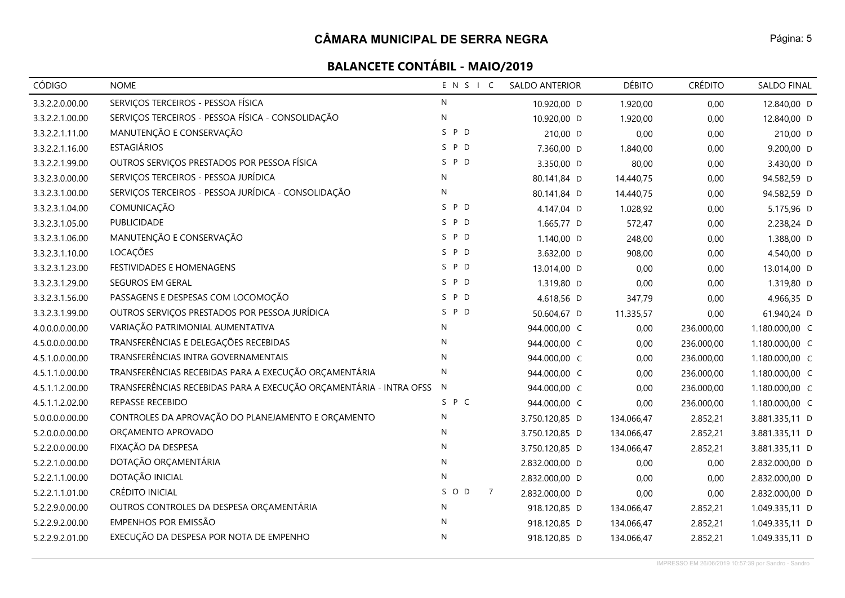| CÓDIGO          | <b>NOME</b>                                                          | ENSIC                 | <b>SALDO ANTERIOR</b> | <b>DÉBITO</b> | <b>CRÉDITO</b> | SALDO FINAL    |
|-----------------|----------------------------------------------------------------------|-----------------------|-----------------------|---------------|----------------|----------------|
| 3.3.2.2.0.00.00 | SERVIÇOS TERCEIROS - PESSOA FÍSICA                                   | $\mathsf{N}$          | 10.920,00 D           | 1.920,00      | 0,00           | 12.840,00 D    |
| 3.3.2.2.1.00.00 | SERVIÇOS TERCEIROS - PESSOA FÍSICA - CONSOLIDAÇÃO                    | N                     | 10.920,00 D           | 1.920,00      | 0,00           | 12.840,00 D    |
| 3.3.2.2.1.11.00 | MANUTENÇÃO E CONSERVAÇÃO                                             | S P D                 | 210,00 D              | 0,00          | 0,00           | 210,00 D       |
| 3.3.2.2.1.16.00 | <b>ESTAGIÁRIOS</b>                                                   | P D<br>S.             | 7.360,00 D            | 1.840,00      | 0,00           | 9.200,00 D     |
| 3.3.2.2.1.99.00 | OUTROS SERVIÇOS PRESTADOS POR PESSOA FÍSICA                          | S.<br>P D             | 3.350,00 D            | 80,00         | 0,00           | 3.430,00 D     |
| 3.3.2.3.0.00.00 | SERVIÇOS TERCEIROS - PESSOA JURÍDICA                                 | N                     | 80.141,84 D           | 14.440,75     | 0,00           | 94.582,59 D    |
| 3.3.2.3.1.00.00 | SERVIÇOS TERCEIROS - PESSOA JURÍDICA - CONSOLIDAÇÃO                  | N                     | 80.141,84 D           | 14.440,75     | 0,00           | 94.582,59 D    |
| 3.3.2.3.1.04.00 | COMUNICAÇÃO                                                          | S P D                 | 4.147,04 D            | 1.028,92      | 0,00           | 5.175,96 D     |
| 3.3.2.3.1.05.00 | PUBLICIDADE                                                          | S P D                 | 1.665,77 D            | 572,47        | 0,00           | 2.238,24 D     |
| 3.3.2.3.1.06.00 | MANUTENÇÃO E CONSERVAÇÃO                                             | P D<br>S.             | 1.140,00 D            | 248,00        | 0,00           | 1.388,00 D     |
| 3.3.2.3.1.10.00 | LOCAÇÕES                                                             | S P D                 | 3.632,00 D            | 908,00        | 0,00           | 4.540,00 D     |
| 3.3.2.3.1.23.00 | FESTIVIDADES E HOMENAGENS                                            | S P D                 | 13.014,00 D           | 0,00          | 0,00           | 13.014,00 D    |
| 3.3.2.3.1.29.00 | SEGUROS EM GERAL                                                     | S P D                 | 1.319,80 D            | 0,00          | 0,00           | 1.319,80 D     |
| 3.3.2.3.1.56.00 | PASSAGENS E DESPESAS COM LOCOMOÇÃO                                   | S P D                 | 4.618,56 D            | 347,79        | 0,00           | 4.966,35 D     |
| 3.3.2.3.1.99.00 | OUTROS SERVIÇOS PRESTADOS POR PESSOA JURÍDICA                        | P D<br>S.             | 50.604,67 D           | 11.335,57     | 0,00           | 61.940,24 D    |
| 4.0.0.0.0.00.00 | VARIAÇÃO PATRIMONIAL AUMENTATIVA                                     | $\mathsf{N}$          | 944.000,00 C          | 0,00          | 236.000,00     | 1.180.000,00 C |
| 4.5.0.0.0.00.00 | TRANSFERÊNCIAS E DELEGAÇÕES RECEBIDAS                                | N                     | 944.000,00 C          | 0,00          | 236.000,00     | 1.180.000,00 C |
| 4.5.1.0.0.00.00 | TRANSFERÊNCIAS INTRA GOVERNAMENTAIS                                  | N                     | 944.000,00 C          | 0,00          | 236.000,00     | 1.180.000,00 C |
| 4.5.1.1.0.00.00 | TRANSFERÊNCIAS RECEBIDAS PARA A EXECUÇÃO ORÇAMENTÁRIA                | N                     | 944.000,00 C          | 0,00          | 236.000,00     | 1.180.000,00 C |
| 4.5.1.1.2.00.00 | TRANSFERÊNCIAS RECEBIDAS PARA A EXECUÇÃO ORÇAMENTÁRIA - INTRA OFSS N |                       | 944.000,00 C          | 0,00          | 236.000,00     | 1.180.000,00 C |
| 4.5.1.1.2.02.00 | REPASSE RECEBIDO                                                     | S P C                 | 944.000,00 C          | 0,00          | 236.000,00     | 1.180.000,00 C |
| 5.0.0.0.0.00.00 | CONTROLES DA APROVAÇÃO DO PLANEJAMENTO E ORÇAMENTO                   | N                     | 3.750.120,85 D        | 134.066,47    | 2.852,21       | 3.881.335,11 D |
| 5.2.0.0.0.00.00 | ORÇAMENTO APROVADO                                                   | N                     | 3.750.120,85 D        | 134.066,47    | 2.852,21       | 3.881.335,11 D |
| 5.2.2.0.0.00.00 | FIXAÇÃO DA DESPESA                                                   | N                     | 3.750.120,85 D        | 134.066,47    | 2.852,21       | 3.881.335,11 D |
| 5.2.2.1.0.00.00 | DOTAÇÃO ORÇAMENTÁRIA                                                 | $\mathsf{N}$          | 2.832.000,00 D        | 0,00          | 0,00           | 2.832.000,00 D |
| 5.2.2.1.1.00.00 | DOTAÇÃO INICIAL                                                      | ${\sf N}$             | 2.832.000,00 D        | 0,00          | 0,00           | 2.832.000,00 D |
| 5.2.2.1.1.01.00 | CRÉDITO INICIAL                                                      | SOD<br>$\overline{7}$ | 2.832.000,00 D        | 0,00          | 0,00           | 2.832.000,00 D |
| 5.2.2.9.0.00.00 | OUTROS CONTROLES DA DESPESA ORÇAMENTÁRIA                             | N                     | 918.120,85 D          | 134.066,47    | 2.852,21       | 1.049.335,11 D |
| 5.2.2.9.2.00.00 | EMPENHOS POR EMISSÃO                                                 | N                     | 918.120,85 D          | 134.066,47    | 2.852,21       | 1.049.335,11 D |
| 5.2.2.9.2.01.00 | EXECUÇÃO DA DESPESA POR NOTA DE EMPENHO                              | N                     | 918.120,85 D          | 134.066,47    | 2.852,21       | 1.049.335,11 D |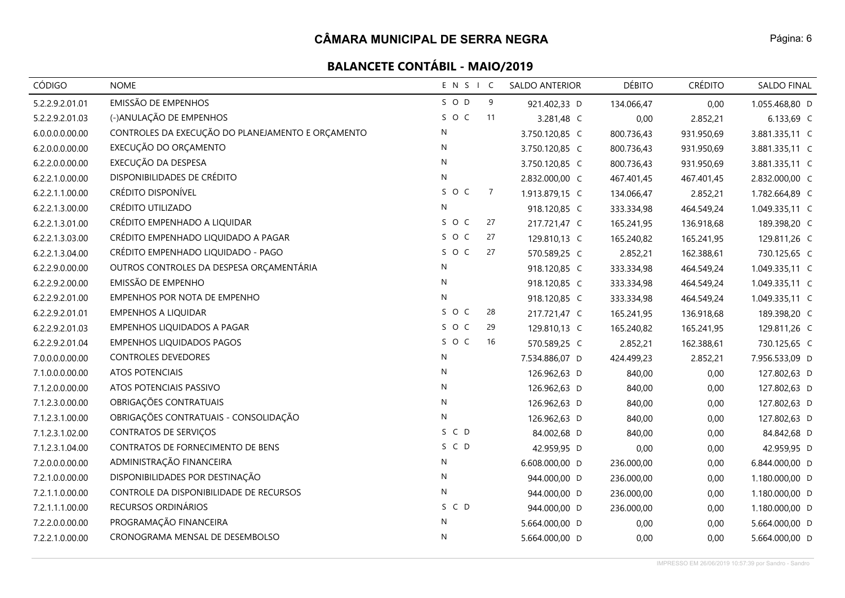| CÓDIGO          | <b>NOME</b>                                       | ENSIC        |                | <b>SALDO ANTERIOR</b> | <b>DÉBITO</b> | <b>CRÉDITO</b> | SALDO FINAL    |
|-----------------|---------------------------------------------------|--------------|----------------|-----------------------|---------------|----------------|----------------|
| 5.2.2.9.2.01.01 | <b>EMISSÃO DE EMPENHOS</b>                        | SOD          | 9              | 921.402,33 D          | 134.066,47    | 0,00           | 1.055.468,80 D |
| 5.2.2.9.2.01.03 | (-)ANULAÇÃO DE EMPENHOS                           | SOC          | 11             | 3.281,48 C            | 0,00          | 2.852,21       | 6.133,69 C     |
| 6.0.0.0.0.00.00 | CONTROLES DA EXECUÇÃO DO PLANEJAMENTO E ORÇAMENTO | ${\sf N}$    |                | 3.750.120,85 C        | 800.736,43    | 931.950,69     | 3.881.335,11 C |
| 6.2.0.0.0.00.00 | EXECUÇÃO DO ORÇAMENTO                             | N            |                | 3.750.120,85 C        | 800.736,43    | 931.950,69     | 3.881.335,11 C |
| 6.2.2.0.0.00.00 | EXECUÇÃO DA DESPESA                               | $\mathsf{N}$ |                | 3.750.120,85 C        | 800.736,43    | 931.950,69     | 3.881.335,11 C |
| 6.2.2.1.0.00.00 | DISPONIBILIDADES DE CRÉDITO                       | ${\sf N}$    |                | 2.832.000,00 C        | 467.401,45    | 467.401,45     | 2.832.000,00 C |
| 6.2.2.1.1.00.00 | CRÉDITO DISPONÍVEL                                | SOC          | $\overline{7}$ | 1.913.879,15 C        | 134.066,47    | 2.852,21       | 1.782.664,89 C |
| 6.2.2.1.3.00.00 | CRÉDITO UTILIZADO                                 | N            |                | 918.120,85 C          | 333.334,98    | 464.549,24     | 1.049.335,11 C |
| 6.2.2.1.3.01.00 | CRÉDITO EMPENHADO A LIQUIDAR                      | SOC          | 27             | 217.721,47 C          | 165.241,95    | 136.918,68     | 189.398,20 C   |
| 6.2.2.1.3.03.00 | CRÉDITO EMPENHADO LIQUIDADO A PAGAR               | SOC          | 27             | 129.810,13 C          | 165.240,82    | 165.241,95     | 129.811,26 C   |
| 6.2.2.1.3.04.00 | CRÉDITO EMPENHADO LIQUIDADO - PAGO                | S O C        | 27             | 570.589,25 C          | 2.852,21      | 162.388,61     | 730.125,65 C   |
| 6.2.2.9.0.00.00 | OUTROS CONTROLES DA DESPESA ORÇAMENTÁRIA          | ${\sf N}$    |                | 918.120,85 C          | 333.334,98    | 464.549,24     | 1.049.335,11 C |
| 6.2.2.9.2.00.00 | EMISSÃO DE EMPENHO                                | $\mathsf{N}$ |                | 918.120,85 C          | 333.334,98    | 464.549,24     | 1.049.335,11 C |
| 6.2.2.9.2.01.00 | EMPENHOS POR NOTA DE EMPENHO                      | N            |                | 918.120,85 C          | 333.334,98    | 464.549,24     | 1.049.335,11 C |
| 6.2.2.9.2.01.01 | <b>EMPENHOS A LIQUIDAR</b>                        | SOC          | 28             | 217.721,47 C          | 165.241,95    | 136.918,68     | 189.398,20 C   |
| 6.2.2.9.2.01.03 | EMPENHOS LIQUIDADOS A PAGAR                       | SOC          | 29             | 129.810,13 C          | 165.240,82    | 165.241,95     | 129.811,26 C   |
| 6.2.2.9.2.01.04 | <b>EMPENHOS LIQUIDADOS PAGOS</b>                  | SOC          | 16             | 570.589,25 C          | 2.852,21      | 162.388,61     | 730.125,65 C   |
| 7.0.0.0.0.00.00 | <b>CONTROLES DEVEDORES</b>                        | ${\sf N}$    |                | 7.534.886,07 D        | 424.499,23    | 2.852,21       | 7.956.533,09 D |
| 7.1.0.0.0.00.00 | <b>ATOS POTENCIAIS</b>                            | $\mathsf{N}$ |                | 126.962,63 D          | 840,00        | 0,00           | 127.802,63 D   |
| 7.1.2.0.0.00.00 | ATOS POTENCIAIS PASSIVO                           | N            |                | 126.962,63 D          | 840,00        | 0,00           | 127.802,63 D   |
| 7.1.2.3.0.00.00 | OBRIGAÇÕES CONTRATUAIS                            | N            |                | 126.962,63 D          | 840,00        | 0,00           | 127.802,63 D   |
| 7.1.2.3.1.00.00 | OBRIGAÇÕES CONTRATUAIS - CONSOLIDAÇÃO             | ${\sf N}$    |                | 126.962,63 D          | 840,00        | 0,00           | 127.802,63 D   |
| 7.1.2.3.1.02.00 | CONTRATOS DE SERVIÇOS                             | S C D        |                | 84.002,68 D           | 840,00        | 0,00           | 84.842,68 D    |
| 7.1.2.3.1.04.00 | CONTRATOS DE FORNECIMENTO DE BENS                 | S C D        |                | 42.959,95 D           | 0,00          | 0,00           | 42.959,95 D    |
| 7.2.0.0.0.00.00 | ADMINISTRAÇÃO FINANCEIRA                          | ${\sf N}$    |                | 6.608.000,00 D        | 236.000,00    | 0,00           | 6.844.000,00 D |
| 7.2.1.0.0.00.00 | DISPONIBILIDADES POR DESTINAÇÃO                   | $\mathsf{N}$ |                | 944.000,00 D          | 236.000,00    | 0,00           | 1.180.000,00 D |
| 7.2.1.1.0.00.00 | CONTROLE DA DISPONIBILIDADE DE RECURSOS           | N            |                | 944.000,00 D          | 236.000,00    | 0,00           | 1.180.000,00 D |
| 7.2.1.1.1.00.00 | RECURSOS ORDINÁRIOS                               | S C D        |                | 944.000,00 D          | 236.000,00    | 0,00           | 1.180.000,00 D |
| 7.2.2.0.0.00.00 | PROGRAMAÇÃO FINANCEIRA                            | N            |                | 5.664.000,00 D        | 0,00          | 0,00           | 5.664.000,00 D |
| 7.2.2.1.0.00.00 | CRONOGRAMA MENSAL DE DESEMBOLSO                   | ${\sf N}$    |                | 5.664.000,00 D        | 0,00          | 0,00           | 5.664.000,00 D |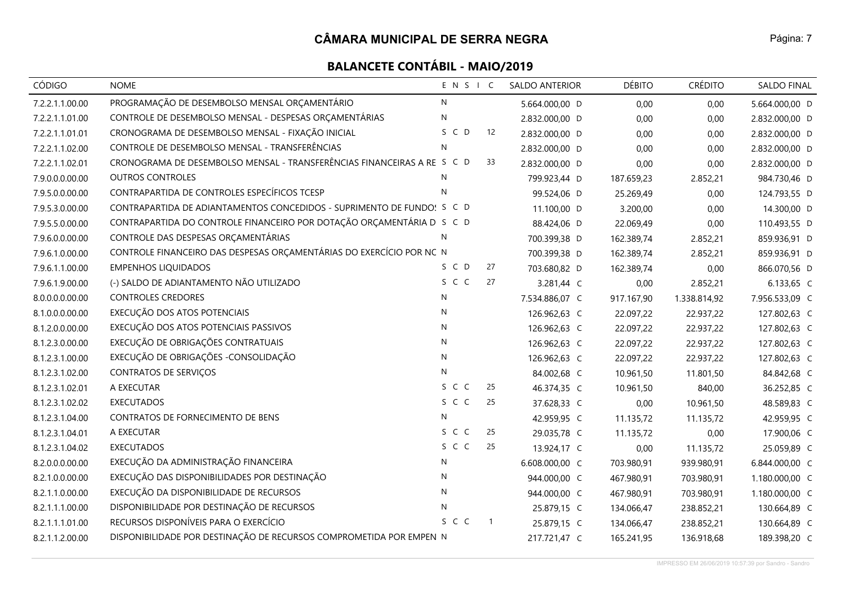| CÓDIGO          | <b>NOME</b>                                                             | ENSIC        |                | <b>SALDO ANTERIOR</b> | <b>DÉBITO</b> | <b>CRÉDITO</b> | <b>SALDO FINAL</b> |
|-----------------|-------------------------------------------------------------------------|--------------|----------------|-----------------------|---------------|----------------|--------------------|
| 7.2.2.1.1.00.00 | PROGRAMAÇÃO DE DESEMBOLSO MENSAL ORÇAMENTÁRIO                           | N            |                | 5.664.000,00 D        | 0,00          | 0,00           | 5.664.000,00 D     |
| 7.2.2.1.1.01.00 | CONTROLE DE DESEMBOLSO MENSAL - DESPESAS ORÇAMENTÁRIAS                  | $\mathsf{N}$ |                | 2.832.000,00 D        | 0,00          | 0,00           | 2.832.000,00 D     |
| 7.2.2.1.1.01.01 | CRONOGRAMA DE DESEMBOLSO MENSAL - FIXAÇÃO INICIAL                       | S C D        | 12             | 2.832.000,00 D        | 0,00          | 0,00           | 2.832.000,00 D     |
| 7.2.2.1.1.02.00 | CONTROLE DE DESEMBOLSO MENSAL - TRANSFERÊNCIAS                          | N            |                | 2.832.000,00 D        | 0,00          | 0,00           | 2.832.000,00 D     |
| 7.2.2.1.1.02.01 | CRONOGRAMA DE DESEMBOLSO MENSAL - TRANSFERÊNCIAS FINANCEIRAS A RE S C D |              | 33             | 2.832.000,00 D        | 0,00          | 0,00           | 2.832.000,00 D     |
| 7.9.0.0.0.00.00 | <b>OUTROS CONTROLES</b>                                                 | N            |                | 799.923,44 D          | 187.659,23    | 2.852,21       | 984.730,46 D       |
| 7.9.5.0.0.00.00 | CONTRAPARTIDA DE CONTROLES ESPECÍFICOS TCESP                            | $\mathsf{N}$ |                | 99.524,06 D           | 25.269,49     | 0,00           | 124.793,55 D       |
| 7.9.5.3.0.00.00 | CONTRAPARTIDA DE ADIANTAMENTOS CONCEDIDOS - SUPRIMENTO DE FUNDO! S C D  |              |                | 11.100,00 D           | 3.200,00      | 0,00           | 14.300,00 D        |
| 7.9.5.5.0.00.00 | CONTRAPARTIDA DO CONTROLE FINANCEIRO POR DOTAÇÃO ORÇAMENTÁRIA D S C D   |              |                | 88.424,06 D           | 22.069,49     | 0,00           | 110.493,55 D       |
| 7.9.6.0.0.00.00 | CONTROLE DAS DESPESAS ORÇAMENTÁRIAS                                     | ${\sf N}$    |                | 700.399,38 D          | 162.389,74    | 2.852,21       | 859.936,91 D       |
| 7.9.6.1.0.00.00 | CONTROLE FINANCEIRO DAS DESPESAS ORÇAMENTÁRIAS DO EXERCÍCIO POR NC N    |              |                | 700.399,38 D          | 162.389,74    | 2.852,21       | 859.936,91 D       |
| 7.9.6.1.1.00.00 | <b>EMPENHOS LIQUIDADOS</b>                                              | S C D        | 27             | 703.680,82 D          | 162.389,74    | 0,00           | 866.070,56 D       |
| 7.9.6.1.9.00.00 | (-) SALDO DE ADIANTAMENTO NÃO UTILIZADO                                 | S C C        | 27             | 3.281,44 C            | 0,00          | 2.852,21       | 6.133,65 C         |
| 8.0.0.0.0.00.00 | <b>CONTROLES CREDORES</b>                                               | N            |                | 7.534.886,07 C        | 917.167,90    | 1.338.814,92   | 7.956.533,09 C     |
| 8.1.0.0.0.00.00 | EXECUÇÃO DOS ATOS POTENCIAIS                                            | $\mathsf{N}$ |                | 126.962,63 C          | 22.097,22     | 22.937,22      | 127.802,63 C       |
| 8.1.2.0.0.00.00 | EXECUÇÃO DOS ATOS POTENCIAIS PASSIVOS                                   | N            |                | 126.962,63 C          | 22.097,22     | 22.937,22      | 127.802,63 C       |
| 8.1.2.3.0.00.00 | EXECUÇÃO DE OBRIGAÇÕES CONTRATUAIS                                      | N            |                | 126.962,63 C          | 22.097,22     | 22.937,22      | 127.802,63 C       |
| 8.1.2.3.1.00.00 | EXECUÇÃO DE OBRIGAÇÕES - CONSOLIDAÇÃO                                   | $\mathsf{N}$ |                | 126.962,63 C          | 22.097,22     | 22.937,22      | 127.802,63 C       |
| 8.1.2.3.1.02.00 | <b>CONTRATOS DE SERVIÇOS</b>                                            | N            |                | 84.002,68 C           | 10.961,50     | 11.801,50      | 84.842,68 C        |
| 8.1.2.3.1.02.01 | A EXECUTAR                                                              | S C C        | 25             | 46.374,35 C           | 10.961,50     | 840,00         | 36.252,85 C        |
| 8.1.2.3.1.02.02 | <b>EXECUTADOS</b>                                                       | S C C        | 25             | 37.628,33 C           | 0,00          | 10.961,50      | 48.589,83 C        |
| 8.1.2.3.1.04.00 | CONTRATOS DE FORNECIMENTO DE BENS                                       | N            |                | 42.959,95 C           | 11.135,72     | 11.135,72      | 42.959,95 C        |
| 8.1.2.3.1.04.01 | A EXECUTAR                                                              | S C C        | 25             | 29.035,78 C           | 11.135,72     | 0,00           | 17.900,06 C        |
| 8.1.2.3.1.04.02 | <b>EXECUTADOS</b>                                                       | S C C        | 25             | 13.924,17 C           | 0,00          | 11.135,72      | 25.059,89 C        |
| 8.2.0.0.0.00.00 | EXECUÇÃO DA ADMINISTRAÇÃO FINANCEIRA                                    | N            |                | 6.608.000,00 C        | 703.980,91    | 939.980,91     | 6.844.000,00 C     |
| 8.2.1.0.0.00.00 | EXECUÇÃO DAS DISPONIBILIDADES POR DESTINAÇÃO                            | N            |                | 944.000,00 C          | 467.980,91    | 703.980,91     | 1.180.000,00 C     |
| 8.2.1.1.0.00.00 | EXECUÇÃO DA DISPONIBILIDADE DE RECURSOS                                 | $\mathsf{N}$ |                | 944.000,00 C          | 467.980,91    | 703.980,91     | 1.180.000,00 C     |
| 8.2.1.1.1.00.00 | DISPONIBILIDADE POR DESTINAÇÃO DE RECURSOS                              | $\mathsf{N}$ |                | 25.879,15 C           | 134.066,47    | 238.852,21     | 130.664,89 C       |
| 8.2.1.1.1.01.00 | RECURSOS DISPONÍVEIS PARA O EXERCÍCIO                                   | S C C        | $\overline{1}$ | 25.879,15 C           | 134.066,47    | 238.852,21     | 130.664,89 C       |
| 8.2.1.1.2.00.00 | DISPONIBILIDADE POR DESTINAÇÃO DE RECURSOS COMPROMETIDA POR EMPEN N     |              |                | 217.721,47 C          | 165.241,95    | 136.918,68     | 189.398,20 C       |

IMPRESSO EM 26/06/2019 10:57:39 por Sandro - Sandro